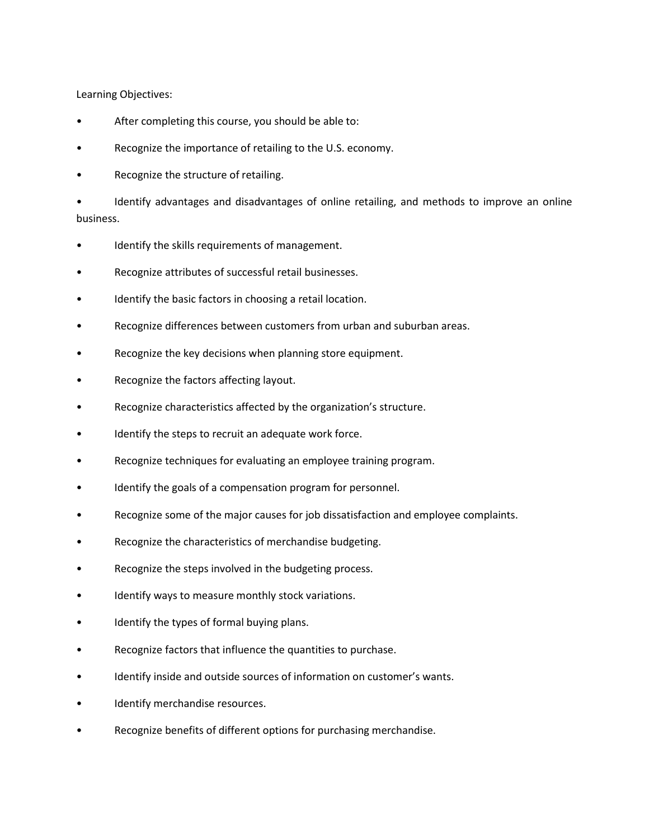Learning Objectives:

- After completing this course, you should be able to:
- Recognize the importance of retailing to the U.S. economy.
- Recognize the structure of retailing.

• Identify advantages and disadvantages of online retailing, and methods to improve an online business.

- Identify the skills requirements of management.
- Recognize attributes of successful retail businesses.
- Identify the basic factors in choosing a retail location.
- Recognize differences between customers from urban and suburban areas.
- Recognize the key decisions when planning store equipment.
- Recognize the factors affecting layout.
- Recognize characteristics affected by the organization's structure.
- Identify the steps to recruit an adequate work force.
- Recognize techniques for evaluating an employee training program.
- Identify the goals of a compensation program for personnel.
- Recognize some of the major causes for job dissatisfaction and employee complaints.
- Recognize the characteristics of merchandise budgeting.
- Recognize the steps involved in the budgeting process.
- Identify ways to measure monthly stock variations.
- Identify the types of formal buying plans.
- Recognize factors that influence the quantities to purchase.
- Identify inside and outside sources of information on customer's wants.
- Identify merchandise resources.
- Recognize benefits of different options for purchasing merchandise.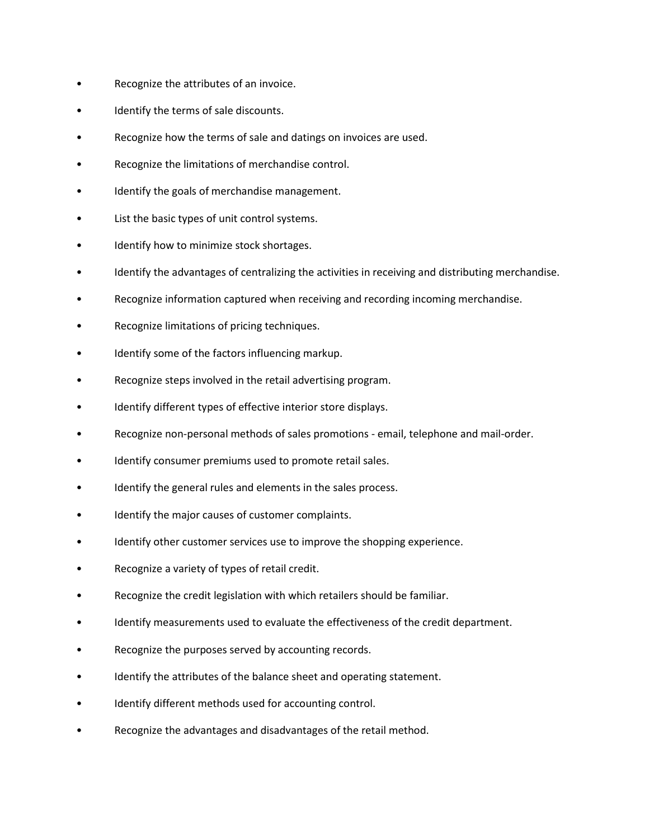- Recognize the attributes of an invoice.
- Identify the terms of sale discounts.
- Recognize how the terms of sale and datings on invoices are used.
- Recognize the limitations of merchandise control.
- Identify the goals of merchandise management.
- List the basic types of unit control systems.
- Identify how to minimize stock shortages.
- Identify the advantages of centralizing the activities in receiving and distributing merchandise.
- Recognize information captured when receiving and recording incoming merchandise.
- Recognize limitations of pricing techniques.
- Identify some of the factors influencing markup.
- Recognize steps involved in the retail advertising program.
- Identify different types of effective interior store displays.
- Recognize non-personal methods of sales promotions email, telephone and mail-order.
- Identify consumer premiums used to promote retail sales.
- Identify the general rules and elements in the sales process.
- Identify the major causes of customer complaints.
- Identify other customer services use to improve the shopping experience.
- Recognize a variety of types of retail credit.
- Recognize the credit legislation with which retailers should be familiar.
- Identify measurements used to evaluate the effectiveness of the credit department.
- Recognize the purposes served by accounting records.
- Identify the attributes of the balance sheet and operating statement.
- Identify different methods used for accounting control.
- Recognize the advantages and disadvantages of the retail method.